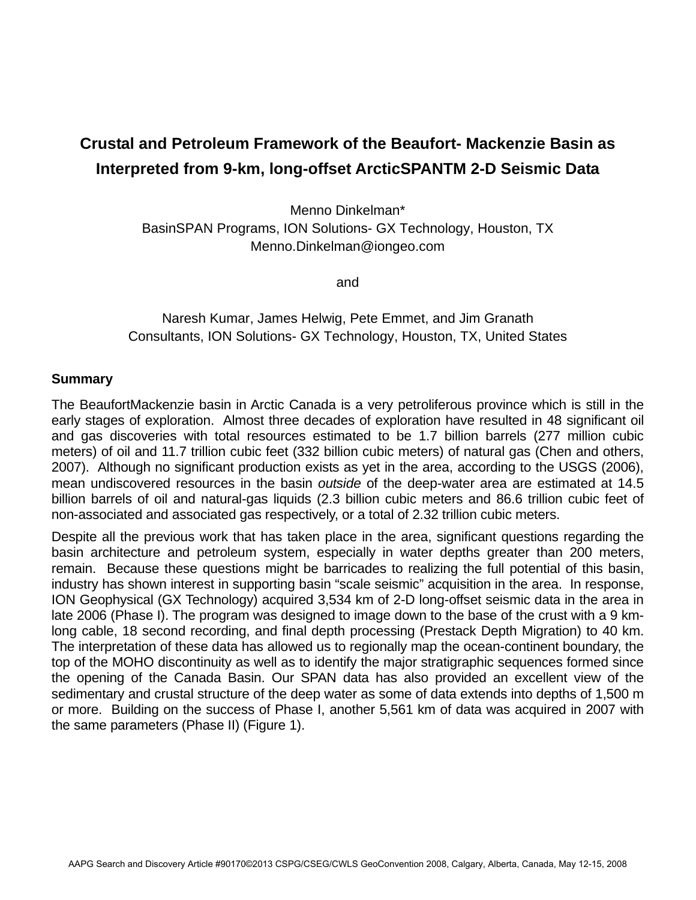## **Crustal and Petroleum Framework of the Beaufort- Mackenzie Basin as Interpreted from 9-km, long-offset ArcticSPANTM 2-D Seismic Data**

Menno Dinkelman\* BasinSPAN Programs, ION Solutions- GX Technology, Houston, TX Menno.Dinkelman@iongeo.com

and

Naresh Kumar, James Helwig, Pete Emmet, and Jim Granath Consultants, ION Solutions- GX Technology, Houston, TX, United States

## **Summary**

The BeaufortMackenzie basin in Arctic Canada is a very petroliferous province which is still in the early stages of exploration. Almost three decades of exploration have resulted in 48 significant oil and gas discoveries with total resources estimated to be 1.7 billion barrels (277 million cubic meters) of oil and 11.7 trillion cubic feet (332 billion cubic meters) of natural gas (Chen and others, 2007). Although no significant production exists as yet in the area, according to the USGS (2006), mean undiscovered resources in the basin *outside* of the deep-water area are estimated at 14.5 billion barrels of oil and natural-gas liquids (2.3 billion cubic meters and 86.6 trillion cubic feet of non-associated and associated gas respectively, or a total of 2.32 trillion cubic meters.

Despite all the previous work that has taken place in the area, significant questions regarding the basin architecture and petroleum system, especially in water depths greater than 200 meters, remain. Because these questions might be barricades to realizing the full potential of this basin, industry has shown interest in supporting basin "scale seismic" acquisition in the area. In response, ION Geophysical (GX Technology) acquired 3,534 km of 2-D long-offset seismic data in the area in late 2006 (Phase I). The program was designed to image down to the base of the crust with a 9 kmlong cable, 18 second recording, and final depth processing (Prestack Depth Migration) to 40 km. The interpretation of these data has allowed us to regionally map the ocean-continent boundary, the top of the MOHO discontinuity as well as to identify the major stratigraphic sequences formed since the opening of the Canada Basin. Our SPAN data has also provided an excellent view of the sedimentary and crustal structure of the deep water as some of data extends into depths of 1,500 m or more. Building on the success of Phase I, another 5,561 km of data was acquired in 2007 with the same parameters (Phase II) (Figure 1).